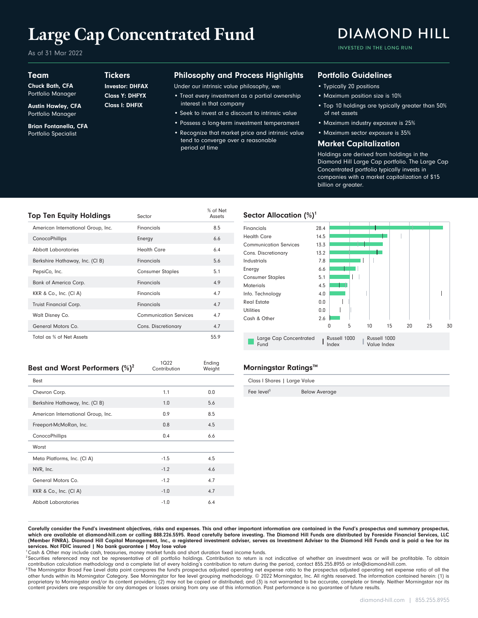# **Large Cap Concentrated Fund**

**Tickers** 

Class I: DHFIX Class Y: DHFYX Investor: DHFAX

As of 31 Mar 2022

#### Team

Chuck Bath, CFA Portfolio Manager

Austin Hawley, CFA Portfolio Manager

Brian Fontanella, CFA Portfolio Specialist

## Philosophy and Process Highlights

Under our intrinsic value philosophy, we:

- Treat every investment as a partial ownership interest in that company
- Seek to invest at a discount to intrinsic value
- Possess a long-term investment temperament • Recognize that market price and intrinsic value tend to converge over a reasonable

period of time

Ending

 $1022$ 

#### Portfolio Guidelines

- Typically 20 positions
- Maximum position size is 10%
- Top 10 holdings are typically greater than 50% of net assets

INVESTED IN THE LONG RUN

**DIAMOND HILL** 

- Maximum industry exposure is 25%
- Maximum sector exposure is 35%

#### Market Capitalization

Holdings are derived from holdings in the Diamond Hill Large Cap portfolio. The Large Cap Concentrated portfolio typically invests in companies with a market capitalization of \$15 billion or greater.

| <b>Top Ten Equity Holdings</b>     | Sector                        | % of Net<br>Assets |
|------------------------------------|-------------------------------|--------------------|
| American International Group, Inc. | Financials                    | 8.5                |
| ConocoPhillips                     | Energy                        | 6.6                |
| Abbott Laboratories                | <b>Health Care</b>            | 6.4                |
| Berkshire Hathaway, Inc. (CI B)    | Financials                    | 5.6                |
| PepsiCo, Inc.                      | <b>Consumer Staples</b>       | 5.1                |
| <b>Bank of America Corp.</b>       | Financials                    | 4.9                |
| KKR & Co., Inc. (CI A)             | Financials                    | 4.7                |
| Truist Financial Corp.             | Financials                    | 4.7                |
| Walt Disney Co.                    | <b>Communication Services</b> | 4.7                |
| General Motors Co.                 | Cons. Discretionary           | 4.7                |
| Total as % of Net Assets           |                               | 55.9               |

| Best and Worst Performers $(\%)^2$ | $\sim$<br>Contribution | Luung<br>Weight |
|------------------------------------|------------------------|-----------------|
| Best                               |                        |                 |
| Chevron Corp.                      | 1.1                    | 0.0             |
| Berkshire Hathaway, Inc. (CI B)    | 1.0                    | 5.6             |
| American International Group, Inc. | 0.9                    | 8.5             |
| Freeport-McMoRan, Inc.             | 0.8                    | 4.5             |
| ConocoPhillips                     | 0.4                    | 6.6             |
| Worst                              |                        |                 |
| Meta Platforms, Inc. (CI A)        | $-1.5$                 | 4.5             |
| NVR, Inc.                          | $-1.2$                 | 4.6             |
| General Motors Co.                 | $-1.2$                 | 4.7             |
| KKR & Co., Inc. (CI A)             | $-1.0$                 | 4.7             |
| <b>Abbott Laboratories</b>         | $-1.0$                 | 6.4             |

#### Sector Allocation  $(\%)^1$



### **Morningstar Ratings™**

| Class I Shares   Large Value |                      |  |
|------------------------------|----------------------|--|
| Fee level $3$                | <b>Below Average</b> |  |

Carefully consider the Fund's investment objectives, risks and expenses. This and other important information are contained in the Fund's prospectus and summary prospectus, which are available at diamond-hill.com or calling 888.226.5595. Read carefully before investing. The Diamond Hill Funds are distributed by Foreside Financial Services, LLC (Member FINRA). Diamond Hill Capital Management, Inc., a registered investment adviser, serves as Investment Adviser to the Diamond Hill Funds and is paid a fee for its services. Not FDIC insured | No bank guarantee | May lose value

<sup>1</sup>Cash & Other may include cash, treasuries, money market funds and short duration fixed income funds.

<sup>2</sup> Securities referenced may not be representative of all portfolio holdings. Contribution to return is not indicative of whether an investment was or will be profitable. To obtain contribution calculation methodology and a complete list of every holding's contribution to return during the period, contact 855.255.8955 or info@diamond-hill.com.

 $^{\rm 3}$ The Morningstar Broad Fee Level data point compares the fund's prospectus adjusted operating net expense ratio of and the prospectus adjusted operating net expense ratio of all the other funds within its Morningstar Category. See Morningstar for fee level grouping methodology. © 2022 Morningstar, Inc. All rights reserved. The information contained herein: (1) is proprietary to Morningstar and/or its content providers; (2) may not be copied or distributed; and (3) is not warranted to be accurate, complete or timely. Neither Morningstar nor its<br>content providers are responsible for